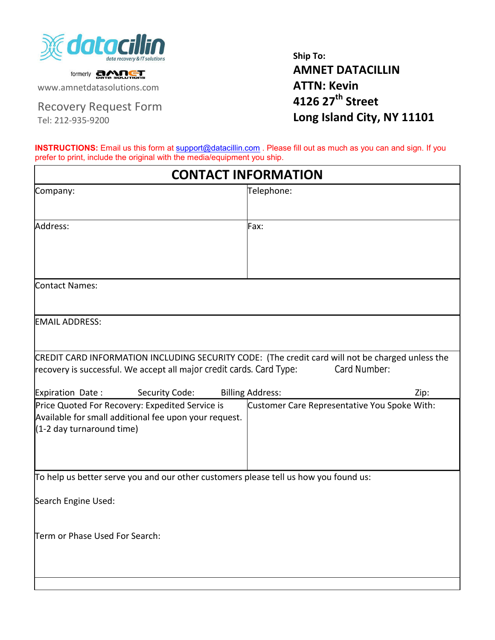

formerly **car Socurrons** 

www.amnetdatasolutions.com

Recovery Request Form

Tel: 212-935-9200

**Ship To: AMNET DATACILLIN ATTN: Kevin 4126 27th Street Long Island City, NY 11101**

**INSTRUCTIONS:** Email us this form at [support@datacillin.c](mailto:support@datacillin.com)om . Please fill out as much as you can and sign. If you prefer to print, include the original with the media/equipment you ship.

| <b>CONTACT INFORMATION</b>                                                                                                                                                                                     |                                                      |  |  |  |  |
|----------------------------------------------------------------------------------------------------------------------------------------------------------------------------------------------------------------|------------------------------------------------------|--|--|--|--|
| Company:                                                                                                                                                                                                       | Telephone:                                           |  |  |  |  |
| Address:                                                                                                                                                                                                       | Fax:                                                 |  |  |  |  |
| Contact Names:                                                                                                                                                                                                 |                                                      |  |  |  |  |
| <b>EMAIL ADDRESS:</b>                                                                                                                                                                                          |                                                      |  |  |  |  |
| CREDIT CARD INFORMATION INCLUDING SECURITY CODE: (The credit card will not be charged unless the<br>recovery is successful. We accept all major credit cards. Card Type:<br>Expiration Date:<br>Security Code: | Card Number:<br><b>Billing Address:</b>              |  |  |  |  |
| Price Quoted For Recovery: Expedited Service is<br>Available for small additional fee upon your request.<br>(1-2 day turnaround time)                                                                          | Zip:<br>Customer Care Representative You Spoke With: |  |  |  |  |
| To help us better serve you and our other customers please tell us how you found us:                                                                                                                           |                                                      |  |  |  |  |
| Search Engine Used:                                                                                                                                                                                            |                                                      |  |  |  |  |
| Term or Phase Used For Search:                                                                                                                                                                                 |                                                      |  |  |  |  |
|                                                                                                                                                                                                                |                                                      |  |  |  |  |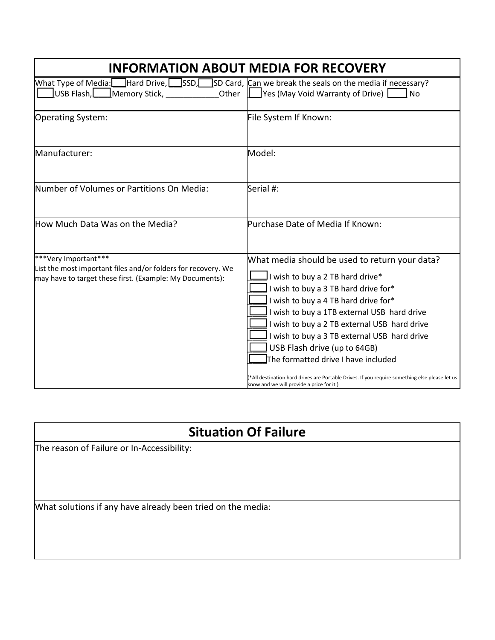| <b>INFORMATION ABOUT MEDIA FOR RECOVERY</b>                                                                                                       |                                                                                                                                                                                                                                                                                                                                                                                                                                                                                                                                        |  |  |  |  |  |
|---------------------------------------------------------------------------------------------------------------------------------------------------|----------------------------------------------------------------------------------------------------------------------------------------------------------------------------------------------------------------------------------------------------------------------------------------------------------------------------------------------------------------------------------------------------------------------------------------------------------------------------------------------------------------------------------------|--|--|--|--|--|
| What Type of Media:<br>USB Flash,<br>Memory Stick,<br>Other                                                                                       | $\Box$ Hard Drive, $\Box$ SSD, SD Card, $\Box$ SD Can we break the seals on the media if necessary?<br>Yes (May Void Warranty of Drive)<br><b>No</b>                                                                                                                                                                                                                                                                                                                                                                                   |  |  |  |  |  |
| Operating System:                                                                                                                                 | File System If Known:                                                                                                                                                                                                                                                                                                                                                                                                                                                                                                                  |  |  |  |  |  |
| Manufacturer:                                                                                                                                     | Model:                                                                                                                                                                                                                                                                                                                                                                                                                                                                                                                                 |  |  |  |  |  |
| Number of Volumes or Partitions On Media:                                                                                                         | Serial #:                                                                                                                                                                                                                                                                                                                                                                                                                                                                                                                              |  |  |  |  |  |
| How Much Data Was on the Media?                                                                                                                   | Purchase Date of Media If Known:                                                                                                                                                                                                                                                                                                                                                                                                                                                                                                       |  |  |  |  |  |
| ***Very Important***<br>List the most important files and/or folders for recovery. We<br>may have to target these first. (Example: My Documents): | What media should be used to return your data?<br>I wish to buy a 2 TB hard drive*<br>I wish to buy a 3 TB hard drive for*<br>I wish to buy a 4 TB hard drive for*<br>I wish to buy a 1TB external USB hard drive<br>I wish to buy a 2 TB external USB hard drive<br>I wish to buy a 3 TB external USB hard drive<br>USB Flash drive (up to 64GB)<br>The formatted drive I have included<br>*All destination hard drives are Portable Drives. If you require something else please let us<br>know and we will provide a price for it.) |  |  |  |  |  |

## **Situation Of Failure**

The reason of Failure or In-Accessibility:

What solutions if any have already been tried on the media: